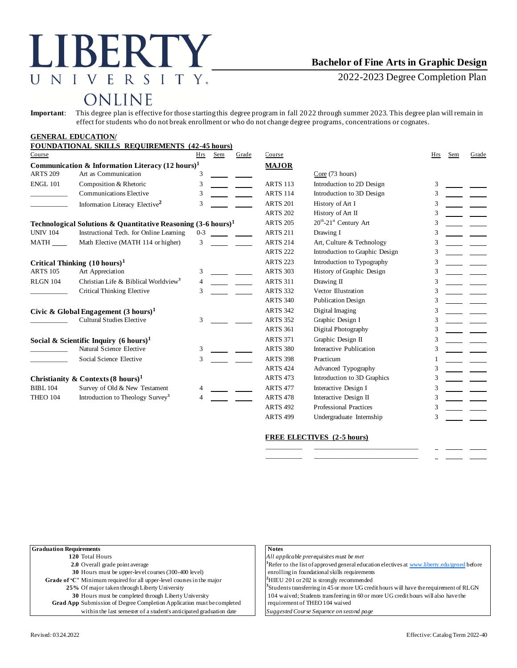# LIBERTY UNIVERSITY.

### **Bachelor of Fine Arts in Graphic Design**

2022-2023 Degree Completion Plan

## ONLINE

**Important**: This degree plan is effective for those starting this degree program in fall 2022 through summer 2023. This degree plan will remain in effect for students who do not break enrollment or who do not change degree programs, concentrations or cognates.

|  |  | <b>GENERAL EDUCATION/</b> |  |
|--|--|---------------------------|--|
|--|--|---------------------------|--|

| Course          | <b>FOUNDATIONAL SKILLS REQUIREMENTS (42-45 hours)</b>                    | Hrs     | Sem | Grade | Course          |                                | Hrs | Sem | Grade |
|-----------------|--------------------------------------------------------------------------|---------|-----|-------|-----------------|--------------------------------|-----|-----|-------|
|                 | Communication & Information Literacy $(12 \text{ hours})^1$              |         |     |       | <b>MAJOR</b>    |                                |     |     |       |
| <b>ARTS 209</b> | Art as Communication                                                     | 3       |     |       |                 | Core (73 hours)                |     |     |       |
| <b>ENGL 101</b> | Composition & Rhetoric                                                   | 3       |     |       | <b>ARTS 113</b> | Introduction to 2D Design      | 3   |     |       |
|                 | <b>Communications Elective</b>                                           | 3       |     |       | <b>ARTS 114</b> | Introduction to 3D Design      | 3   |     |       |
|                 | Information Literacy Elective <sup>2</sup>                               | 3       |     |       | <b>ARTS 201</b> | History of Art I               | 3   |     |       |
|                 |                                                                          |         |     |       | <b>ARTS 202</b> | History of Art II              |     |     |       |
|                 | Technological Solutions & Quantitative Reasoning $(3-6 \text{ hours})^1$ |         |     |       | <b>ARTS 205</b> | $20th - 21st$ Century Art      |     |     |       |
| <b>UNIV 104</b> | Instructional Tech. for Online Learning                                  | $0 - 3$ |     |       | <b>ARTS 211</b> | Drawing I                      | 3   |     |       |
| MATH            | Math Elective (MATH 114 or higher)                                       | 3       |     |       | <b>ARTS 214</b> | Art, Culture & Technology      |     |     |       |
|                 |                                                                          |         |     |       | <b>ARTS 222</b> | Introduction to Graphic Design | 3   |     |       |
|                 | Critical Thinking $(10 \text{ hours})^1$                                 |         |     |       | <b>ARTS 223</b> | Introduction to Typography     | 3   |     |       |
| <b>ARTS 105</b> | Art Appreciation                                                         | 3       |     |       | <b>ARTS 303</b> | History of Graphic Design      | 3   |     |       |
| <b>RLGN 104</b> | Christian Life & Biblical Worldview <sup>3</sup>                         | 4       |     |       | <b>ARTS 311</b> | Drawing II                     | 3   |     |       |
|                 | Critical Thinking Elective                                               | 3       |     |       | <b>ARTS 332</b> | Vector Illustration            | 3   |     |       |
|                 |                                                                          |         |     |       | <b>ARTS 340</b> | <b>Publication Design</b>      | 3   |     |       |
|                 | Civic & Global Engagement $(3 \text{ hours})^1$                          |         |     |       | <b>ARTS 342</b> | Digital Imaging                | 3   |     |       |
|                 | <b>Cultural Studies Elective</b>                                         | 3       |     |       | <b>ARTS 352</b> | Graphic Design I               |     |     |       |
|                 |                                                                          |         |     |       | <b>ARTS 361</b> | Digital Photography            | 3   |     |       |
|                 | Social & Scientific Inquiry $(6 \text{ hours})^1$                        |         |     |       | <b>ARTS 371</b> | Graphic Design II              |     |     |       |
|                 | Natural Science Elective                                                 | 3       |     |       | <b>ARTS 380</b> | Interactive Publication        | 3   |     |       |
|                 | Social Science Elective                                                  | 3       |     |       | <b>ARTS 398</b> | Practicum                      |     |     |       |
|                 |                                                                          |         |     |       | <b>ARTS 424</b> | Advanced Typography            |     |     |       |
|                 | Christianity & Contexts $(8 \text{ hours})^1$                            |         |     |       | <b>ARTS 473</b> | Introduction to 3D Graphics    | 3   |     |       |
| <b>BIBL 104</b> | Survey of Old & New Testament                                            | 4       |     |       | <b>ARTS 477</b> | Interactive Design I           | 3   |     |       |
| <b>THEO 104</b> | Introduction to Theology Survey <sup>3</sup>                             | Δ       |     |       | <b>ARTS 478</b> | Interactive Design II          | 3   |     |       |
|                 |                                                                          |         |     |       | <b>ARTS 492</b> | <b>Professional Practices</b>  | 3   |     |       |
|                 |                                                                          |         |     |       | <b>ARTS 499</b> | Undergraduate Internship       | 3   |     |       |

#### **FREE ELECTIVES (2-5 hours)**

\_\_\_\_\_\_\_\_\_\_\_ \_\_\_\_\_\_\_\_\_\_\_\_\_\_\_\_\_\_\_\_\_\_\_\_\_\_\_\_\_\_\_ \_\_\_\_\_\_\_\_\_\_\_ \_\_\_\_\_\_\_\_\_\_\_\_\_\_\_\_\_\_\_\_\_\_\_\_\_\_\_\_\_\_\_

| <b>Notes</b>                                                                                           |
|--------------------------------------------------------------------------------------------------------|
| All applicable prerequisites must be met                                                               |
| <sup>1</sup> Refer to the list of approved general education electives at www.liberty.edu/gened before |
| enrolling in foundational skills requirements                                                          |
| $^2$ HIEU 201 or 202 is strongly recommended                                                           |
| <sup>3</sup> Students transferring in 45 or more UG credit hours will have the requirement of RLGN     |
| 104 waived; Students transferring in 60 or more UG credit hours will also have the                     |
| requirement of THEO 104 waived                                                                         |
| Suggested Course Sequence on second page                                                               |
|                                                                                                        |